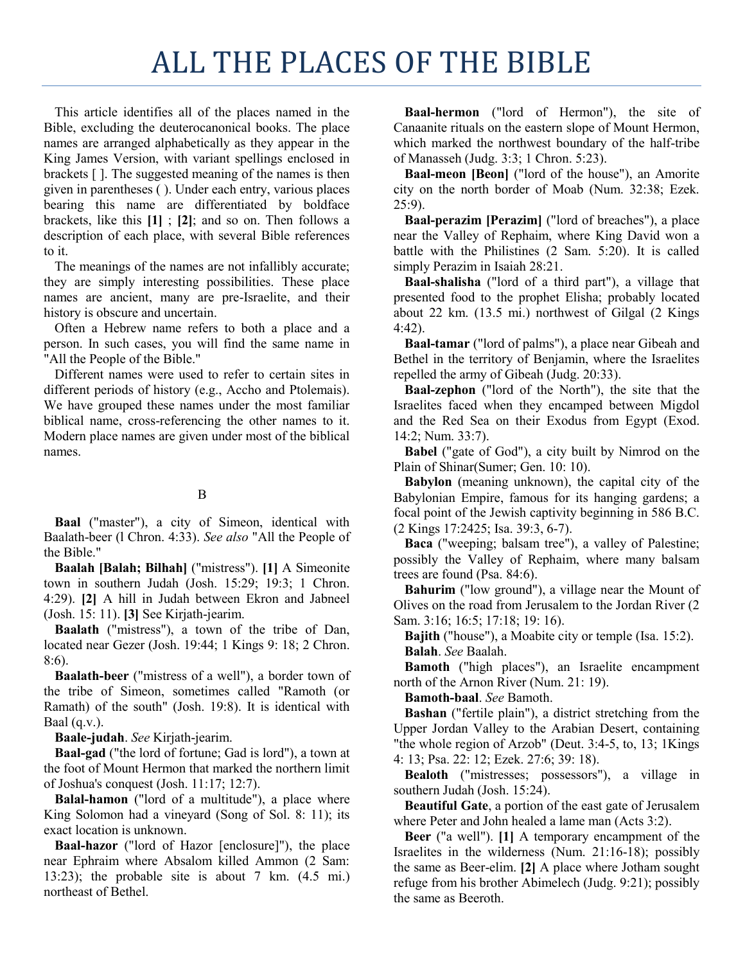## ALL THE PLACES OF THE BIBLE

This article identifies all of the places named in the Bible, excluding the deuterocanonical books. The place names are arranged alphabetically as they appear in the King James Version, with variant spellings enclosed in brackets [ ]. The suggested meaning of the names is then given in parentheses ( ). Under each entry, various places bearing this name are differentiated by boldface brackets, like this **[1]** ; **[2]**; and so on. Then follows a description of each place, with several Bible references to it.

The meanings of the names are not infallibly accurate; they are simply interesting possibilities. These place names are ancient, many are pre-Israelite, and their history is obscure and uncertain.

Often a Hebrew name refers to both a place and a person. In such cases, you will find the same name in "All the People of the Bible."

Different names were used to refer to certain sites in different periods of history (e.g., Accho and Ptolemais). We have grouped these names under the most familiar biblical name, cross-referencing the other names to it. Modern place names are given under most of the biblical names.

## B

**Baal** ("master"), a city of Simeon, identical with Baalath-beer (l Chron. 4:33). *See also* "All the People of the Bible."

**Baalah [Balah; Bilhah]** ("mistress"). **[1]** A Simeonite town in southern Judah (Josh. 15:29; 19:3; 1 Chron. 4:29). **[2]** A hill in Judah between Ekron and Jabneel (Josh. 15: 11). **[3]** See Kirjath-jearim.

**Baalath** ("mistress"), a town of the tribe of Dan, located near Gezer (Josh. 19:44; 1 Kings 9: 18; 2 Chron. 8:6).

**Baalath-beer** ("mistress of a well"), a border town of the tribe of Simeon, sometimes called "Ramoth (or Ramath) of the south" (Josh. 19:8). It is identical with Baal  $(q.v.)$ .

**Baale-judah**. *See* Kirjath-jearim.

**Baal-gad** ("the lord of fortune; Gad is lord"), a town at the foot of Mount Hermon that marked the northern limit of Joshua's conquest (Josh. 11:17; 12:7).

**Balal-hamon** ("lord of a multitude"), a place where King Solomon had a vineyard (Song of Sol. 8: 11); its exact location is unknown.

**Baal-hazor** ("lord of Hazor [enclosure]"), the place near Ephraim where Absalom killed Ammon (2 Sam: 13:23); the probable site is about 7 km.  $(4.5 \text{ mi.})$ northeast of Bethel.

**Baal-hermon** ("lord of Hermon"), the site of Canaanite rituals on the eastern slope of Mount Hermon, which marked the northwest boundary of the half-tribe of Manasseh (Judg. 3:3; 1 Chron. 5:23).

**Baal-meon [Beon]** ("lord of the house"), an Amorite city on the north border of Moab (Num. 32:38; Ezek. 25:9).

**Baal-perazim [Perazim]** ("lord of breaches"), a place near the Valley of Rephaim, where King David won a battle with the Philistines (2 Sam. 5:20). It is called simply Perazim in Isaiah 28:21.

**Baal-shalisha** ("lord of a third part"), a village that presented food to the prophet Elisha; probably located about 22 km. (13.5 mi.) northwest of Gilgal (2 Kings 4:42).

**Baal-tamar** ("lord of palms"), a place near Gibeah and Bethel in the territory of Benjamin, where the Israelites repelled the army of Gibeah (Judg. 20:33).

**Baal-zephon** ("lord of the North"), the site that the Israelites faced when they encamped between Migdol and the Red Sea on their Exodus from Egypt (Exod. 14:2; Num. 33:7).

**Babel** ("gate of God"), a city built by Nimrod on the Plain of Shinar(Sumer; Gen. 10: 10).

**Babylon** (meaning unknown), the capital city of the Babylonian Empire, famous for its hanging gardens; a focal point of the Jewish captivity beginning in 586 B.C. (2 Kings 17:2425; Isa. 39:3, 6-7).

**Baca** ("weeping; balsam tree"), a valley of Palestine; possibly the Valley of Rephaim, where many balsam trees are found (Psa. 84:6).

**Bahurim** ("low ground"), a village near the Mount of Olives on the road from Jerusalem to the Jordan River (2 Sam. 3:16; 16:5; 17:18; 19: 16).

**Bajith** ("house"), a Moabite city or temple (Isa. 15:2). **Balah**. *See* Baalah.

**Bamoth** ("high places"), an Israelite encampment north of the Arnon River (Num. 21: 19).

**Bamoth-baal**. *See* Bamoth.

**Bashan** ("fertile plain"), a district stretching from the Upper Jordan Valley to the Arabian Desert, containing "the whole region of Arzob" (Deut. 3:4-5, to, 13; 1Kings 4: 13; Psa. 22: 12; Ezek. 27:6; 39: 18).

**Bealoth** ("mistresses; possessors"), a village in southern Judah (Josh. 15:24).

**Beautiful Gate**, a portion of the east gate of Jerusalem where Peter and John healed a lame man (Acts 3:2).

**Beer** ("a well"). **[1]** A temporary encampment of the Israelites in the wilderness (Num. 21:16-18); possibly the same as Beer-elim. **[2]** A place where Jotham sought refuge from his brother Abimelech (Judg. 9:21); possibly the same as Beeroth.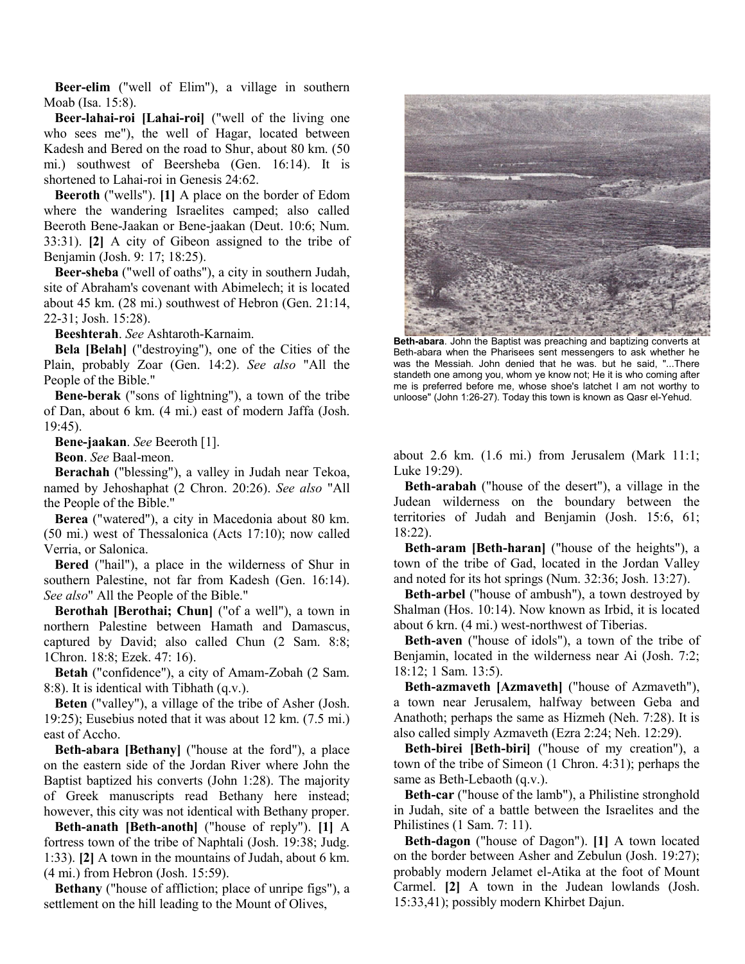**Beer-elim** ("well of Elim"), a village in southern Moab (Isa. 15:8).

**Beer-lahai-roi [Lahai-roi]** ("well of the living one who sees me"), the well of Hagar, located between Kadesh and Bered on the road to Shur, about 80 km. (50 mi.) southwest of Beersheba (Gen. 16:14). It is shortened to Lahai-roi in Genesis 24:62.

**Beeroth** ("wells"). **[1]** A place on the border of Edom where the wandering Israelites camped; also called Beeroth Bene-Jaakan or Bene-jaakan (Deut. 10:6; Num. 33:31). **[2]** A city of Gibeon assigned to the tribe of Benjamin (Josh. 9: 17; 18:25).

**Beer-sheba** ("well of oaths"), a city in southern Judah, site of Abraham's covenant with Abimelech; it is located about 45 km. (28 mi.) southwest of Hebron (Gen. 21:14, 22-31; Josh. 15:28).

**Beeshterah**. *See* Ashtaroth-Karnaim.

**Bela [Belah]** ("destroying"), one of the Cities of the Plain, probably Zoar (Gen. 14:2). *See also* "All the People of the Bible."

**Bene-berak** ("sons of lightning"), a town of the tribe of Dan, about 6 km. (4 mi.) east of modern Jaffa (Josh. 19:45).

**Bene-jaakan**. *See* Beeroth [1].

**Beon**. *See* Baal-meon.

**Berachah** ("blessing"), a valley in Judah near Tekoa, named by Jehoshaphat (2 Chron. 20:26). *See also* "All the People of the Bible."

**Berea** ("watered"), a city in Macedonia about 80 km. (50 mi.) west of Thessalonica (Acts 17:10); now called Verria, or Salonica.

**Bered** ("hail"), a place in the wilderness of Shur in southern Palestine, not far from Kadesh (Gen. 16:14). *See also*" All the People of the Bible."

**Berothah [Berothai; Chun]** ("of a well"), a town in northern Palestine between Hamath and Damascus, captured by David; also called Chun (2 Sam. 8:8; 1Chron. 18:8; Ezek. 47: 16).

**Betah** ("confidence"), a city of Amam-Zobah (2 Sam. 8:8). It is identical with Tibhath (q.v.).

**Beten** ("valley"), a village of the tribe of Asher (Josh. 19:25); Eusebius noted that it was about 12 km. (7.5 mi.) east of Accho.

**Beth-abara [Bethany]** ("house at the ford"), a place on the eastern side of the Jordan River where John the Baptist baptized his converts (John 1:28). The majority of Greek manuscripts read Bethany here instead; however, this city was not identical with Bethany proper.

**Beth-anath [Beth-anoth]** ("house of reply"). **[1]** A fortress town of the tribe of Naphtali (Josh. 19:38; Judg. 1:33). **[2]** A town in the mountains of Judah, about 6 km. (4 mi.) from Hebron (Josh. 15:59).

**Bethany** ("house of affliction; place of unripe figs"), a settlement on the hill leading to the Mount of Olives,



**Beth-abara**. John the Baptist was preaching and baptizing converts at Beth-abara when the Pharisees sent messengers to ask whether he was the Messiah. John denied that he was. but he said, "...There standeth one among you, whom ye know not; He it is who coming after me is preferred before me, whose shoe's latchet I am not worthy to unloose" (John 1:26-27). Today this town is known as Qasr el-Yehud.

about 2.6 km. (1.6 mi.) from Jerusalem (Mark 11:1; Luke 19:29).

**Beth-arabah** ("house of the desert"), a village in the Judean wilderness on the boundary between the territories of Judah and Benjamin (Josh. 15:6, 61; 18:22).

**Beth-aram [Beth-haran]** ("house of the heights"), a town of the tribe of Gad, located in the Jordan Valley and noted for its hot springs (Num. 32:36; Josh. 13:27).

**Beth-arbel** ("house of ambush"), a town destroyed by Shalman (Hos. 10:14). Now known as Irbid, it is located about 6 krn. (4 mi.) west-northwest of Tiberias.

**Beth-aven** ("house of idols"), a town of the tribe of Benjamin, located in the wilderness near Ai (Josh. 7:2; 18:12; 1 Sam. 13:5).

**Beth-azmaveth [Azmaveth]** ("house of Azmaveth"), a town near Jerusalem, halfway between Geba and Anathoth; perhaps the same as Hizmeh (Neh. 7:28). It is also called simply Azmaveth (Ezra 2:24; Neh. 12:29).

**Beth-birei [Beth-biri]** ("house of my creation"), a town of the tribe of Simeon (1 Chron. 4:31); perhaps the same as Beth-Lebaoth (q.v.).

**Beth-car** ("house of the lamb"), a Philistine stronghold in Judah, site of a battle between the Israelites and the Philistines (1 Sam. 7: 11).

**Beth-dagon** ("house of Dagon"). **[1]** A town located on the border between Asher and Zebulun (Josh. 19:27); probably modern Jelamet el-Atika at the foot of Mount Carmel. **[2]** A town in the Judean lowlands (Josh. 15:33,41); possibly modern Khirbet Dajun.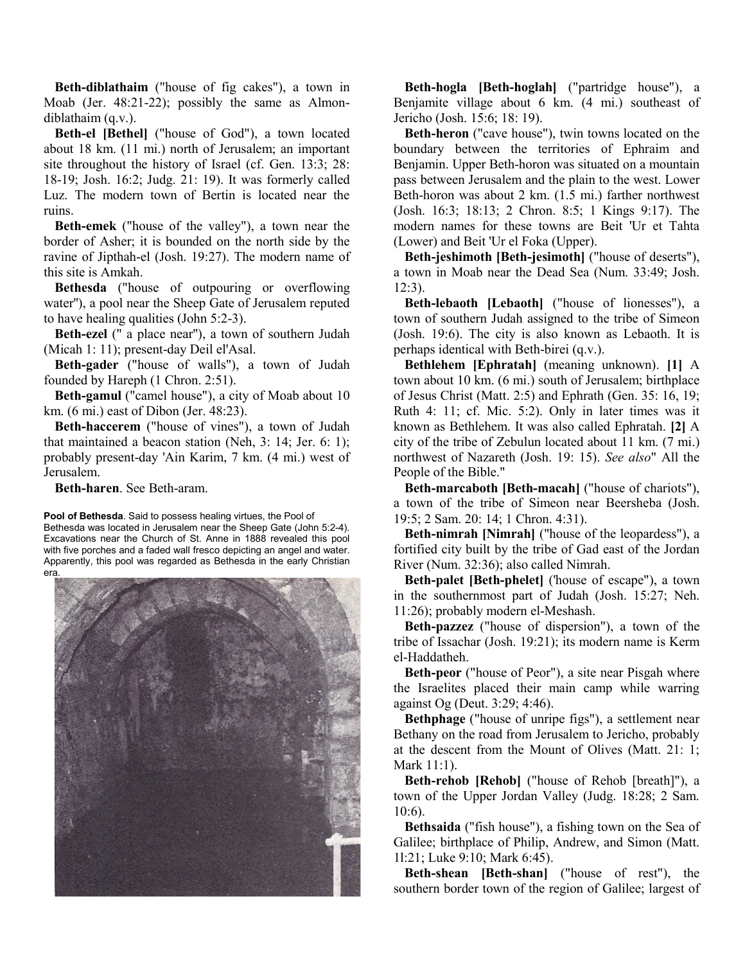**Beth-diblathaim** ("house of fig cakes"), a town in Moab (Jer. 48:21-22); possibly the same as Almondiblathaim (q.v.).

**Beth-el [Bethel]** ("house of God"), a town located about 18 km. (11 mi.) north of Jerusalem; an important site throughout the history of Israel (cf. Gen. 13:3; 28: 18-19; Josh. 16:2; Judg. 21: 19). It was formerly called Luz. The modern town of Bertin is located near the ruins.

**Beth-emek** ("house of the valley"), a town near the border of Asher; it is bounded on the north side by the ravine of Jipthah-el (Josh. 19:27). The modern name of this site is Amkah.

**Bethesda** ("house of outpouring or overflowing water''), a pool near the Sheep Gate of Jerusalem reputed to have healing qualities (John 5:2-3).

**Beth-ezel** (" a place near''), a town of southern Judah (Micah 1: 11); present-day Deil el'Asal.

**Beth-gader** ("house of walls"), a town of Judah founded by Hareph (1 Chron. 2:51).

**Beth-gamul** ("camel house"), a city of Moab about 10 km. (6 mi.) east of Dibon (Jer. 48:23).

**Beth-haccerem** ("house of vines"), a town of Judah that maintained a beacon station (Neh, 3: 14; Jer. 6: 1); probably present-day 'Ain Karim, 7 km. (4 mi.) west of Jerusalem.

**Beth-haren**. See Beth-aram.

**Pool of Bethesda**. Said to possess healing virtues, the Pool of Bethesda was located in Jerusalem near the Sheep Gate (John 5:2-4). Excavations near the Church of St. Anne in 1888 revealed this pool with five porches and a faded wall fresco depicting an angel and water. Apparently, this pool was regarded as Bethesda in the early Christian era.



**Beth-hogla [Beth-hoglah]** ("partridge house"), a Benjamite village about 6 km. (4 mi.) southeast of Jericho (Josh. 15:6; 18: 19).

**Beth-heron** ("cave house"), twin towns located on the boundary between the territories of Ephraim and Benjamin. Upper Beth-horon was situated on a mountain pass between Jerusalem and the plain to the west. Lower Beth-horon was about 2 km. (1.5 mi.) farther northwest (Josh. 16:3; 18:13; 2 Chron. 8:5; 1 Kings 9:17). The modern names for these towns are Beit 'Ur et Tahta (Lower) and Beit 'Ur el Foka (Upper).

**Beth-jeshimoth [Beth-jesimoth]** ("house of deserts"), a town in Moab near the Dead Sea (Num. 33:49; Josh. 12:3).

**Beth-lebaoth [Lebaoth]** ("house of lionesses"), a town of southern Judah assigned to the tribe of Simeon (Josh. 19:6). The city is also known as Lebaoth. It is perhaps identical with Beth-birei (q.v.).

**Bethlehem [Ephratah]** (meaning unknown). **[1]** A town about 10 km. (6 mi.) south of Jerusalem; birthplace of Jesus Christ (Matt. 2:5) and Ephrath (Gen. 35: 16, 19; Ruth 4: 11; cf. Mic. 5:2). Only in later times was it known as Bethlehem. It was also called Ephratah. **[2]** A city of the tribe of Zebulun located about 11 km. (7 mi.) northwest of Nazareth (Josh. 19: 15). *See also*" All the People of the Bible."

**Beth-marcaboth [Beth-macah]** ("house of chariots"), a town of the tribe of Simeon near Beersheba (Josh. 19:5; 2 Sam. 20: 14; 1 Chron. 4:31).

**Beth-nimrah [Nimrah]** ("house of the leopardess"), a fortified city built by the tribe of Gad east of the Jordan River (Num. 32:36); also called Nimrah.

**Beth-palet [Beth-phelet]** ('house of escape"), a town in the southernmost part of Judah (Josh. 15:27; Neh. 11:26); probably modern el-Meshash.

**Beth-pazzez** ("house of dispersion"), a town of the tribe of Issachar (Josh. 19:21); its modern name is Kerm el-Haddatheh.

**Beth-peor** ("house of Peor"), a site near Pisgah where the Israelites placed their main camp while warring against Og (Deut. 3:29; 4:46).

**Bethphage** ("house of unripe figs"), a settlement near Bethany on the road from Jerusalem to Jericho, probably at the descent from the Mount of Olives (Matt. 21: 1; Mark 11:1).

**Beth-rehob [Rehob]** ("house of Rehob [breath]"), a town of the Upper Jordan Valley (Judg. 18:28; 2 Sam. 10:6).

**Bethsaida** ("fish house"), a fishing town on the Sea of Galilee; birthplace of Philip, Andrew, and Simon (Matt. 1l:21; Luke 9:10; Mark 6:45).

**Beth-shean [Beth-shan]** ("house of rest"), the southern border town of the region of Galilee; largest of